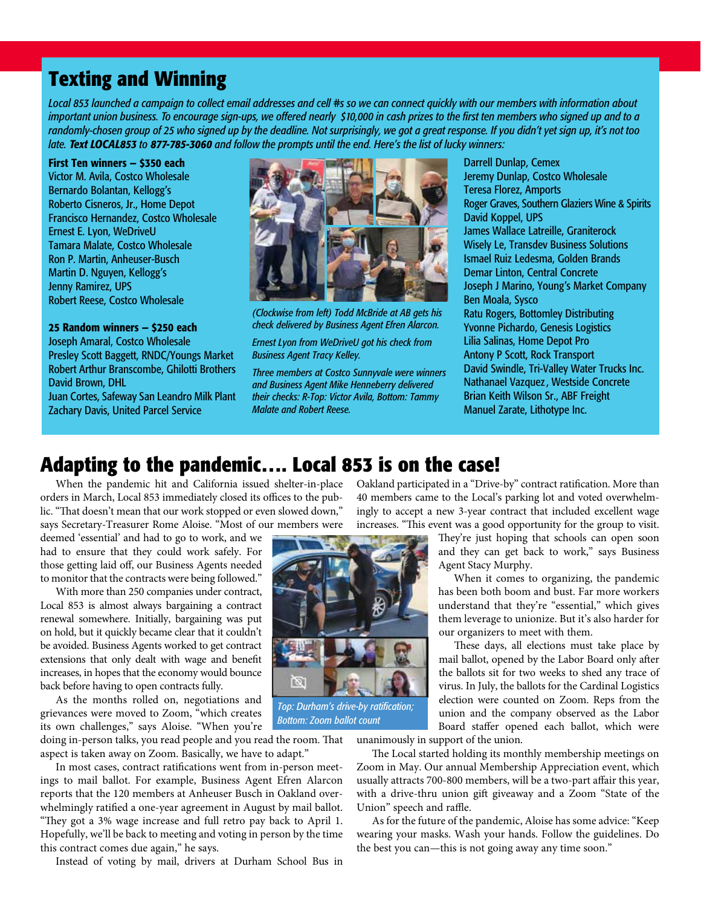# **Texting and Winning**

*Local 853 launched a campaign to collect email addresses and cell #s so we can connect quickly with our members with information about important union business. To encourage sign-ups, we offered nearly \$10,000 in cash prizes to the first ten members who signed up and to a randomly-chosen group of 25 who signed up by the deadline. Not surprisingly, we got a great response. If you didn't yet sign up, it's not too late. Text LOCAL853 to 877-785-3060 and follow the prompts until the end. Here's the list of lucky winners:*

#### First Ten winners — \$350 each

Victor M. Avila, Costco Wholesale Bernardo Bolantan, Kellogg's Roberto Cisneros, Jr., Home Depot Francisco Hernandez, Costco Wholesale Ernest E. Lyon, WeDriveU Tamara Malate, Costco Wholesale Ron P. Martin, Anheuser-Busch Martin D. Nguyen, Kellogg's Jenny Ramirez, UPS Robert Reese, Costco Wholesale

#### 25 Random winners — \$250 each

Joseph Amaral, Costco Wholesale Presley Scott Baggett, RNDC/Youngs Market Robert Arthur Branscombe, Ghilotti Brothers David Brown, DHL

Juan Cortes, Safeway San Leandro Milk Plant Zachary Davis, United Parcel Service



*(Clockwise from left) Todd McBride at AB gets his check delivered by Business Agent Efren Alarcon.*

*Ernest Lyon from WeDriveU got his check from Business Agent Tracy Kelley.* 

*Three members at Costco Sunnyvale were winners and Business Agent Mike Henneberry delivered their checks: R-Top: Victor Avila, Bottom: Tammy Malate and Robert Reese.* 

Darrell Dunlap, Cemex Jeremy Dunlap, Costco Wholesale Teresa Florez, Amports Roger Graves, Southern Glaziers Wine & Spirits David Koppel, UPS James Wallace Latreille, Graniterock Wisely Le, Transdev Business Solutions Ismael Ruiz Ledesma, Golden Brands Demar Linton, Central Concrete Joseph J Marino, Young's Market Company Ben Moala, Sysco Ratu Rogers, Bottomley Distributing Yvonne Pichardo, Genesis Logistics Lilia Salinas, Home Depot Pro Antony P Scott, Rock Transport David Swindle, Tri-Valley Water Trucks Inc. Nathanael Vazquez, Westside Concrete Brian Keith Wilson Sr., ABF Freight Manuel Zarate, Lithotype Inc.

## **Adapting to the pandemic…. Local 853 is on the case!**

When the pandemic hit and California issued shelter-in-place orders in March, Local 853 immediately closed its offices to the public. "That doesn't mean that our work stopped or even slowed down," says Secretary-Treasurer Rome Aloise. "Most of our members were

deemed 'essential' and had to go to work, and we had to ensure that they could work safely. For those getting laid off, our Business Agents needed to monitor that the contracts were being followed."

With more than 250 companies under contract, Local 853 is almost always bargaining a contract renewal somewhere. Initially, bargaining was put on hold, but it quickly became clear that it couldn't be avoided. Business Agents worked to get contract extensions that only dealt with wage and benefit increases, in hopes that the economy would bounce back before having to open contracts fully.

As the months rolled on, negotiations and grievances were moved to Zoom, "which creates its own challenges," says Aloise. "When you're

doing in-person talks, you read people and you read the room. That aspect is taken away on Zoom. Basically, we have to adapt."

In most cases, contract ratifications went from in-person meetings to mail ballot. For example, Business Agent Efren Alarcon reports that the 120 members at Anheuser Busch in Oakland overwhelmingly ratified a one-year agreement in August by mail ballot. "They got a 3% wage increase and full retro pay back to April 1. Hopefully, we'll be back to meeting and voting in person by the time this contract comes due again," he says.

Instead of voting by mail, drivers at Durham School Bus in

Oakland participated in a "Drive-by" contract ratification. More than 40 members came to the Local's parking lot and voted overwhelmingly to accept a new 3-year contract that included excellent wage increases. "This event was a good opportunity for the group to visit.

> They're just hoping that schools can open soon and they can get back to work," says Business Agent Stacy Murphy.

> When it comes to organizing, the pandemic has been both boom and bust. Far more workers understand that they're "essential," which gives them leverage to unionize. But it's also harder for our organizers to meet with them.

> These days, all elections must take place by mail ballot, opened by the Labor Board only after the ballots sit for two weeks to shed any trace of virus. In July, the ballots for the Cardinal Logistics election were counted on Zoom. Reps from the union and the company observed as the Labor Board staffer opened each ballot, which were

unanimously in support of the union.

The Local started holding its monthly membership meetings on Zoom in May. Our annual Membership Appreciation event, which usually attracts 700-800 members, will be a two-part affair this year, with a drive-thru union gift giveaway and a Zoom "State of the Union" speech and raffle.

As for the future of the pandemic, Aloise has some advice: "Keep wearing your masks. Wash your hands. Follow the guidelines. Do the best you can—this is not going away any time soon."



*Top: Durham's drive-by ratification; Bottom: Zoom ballot count*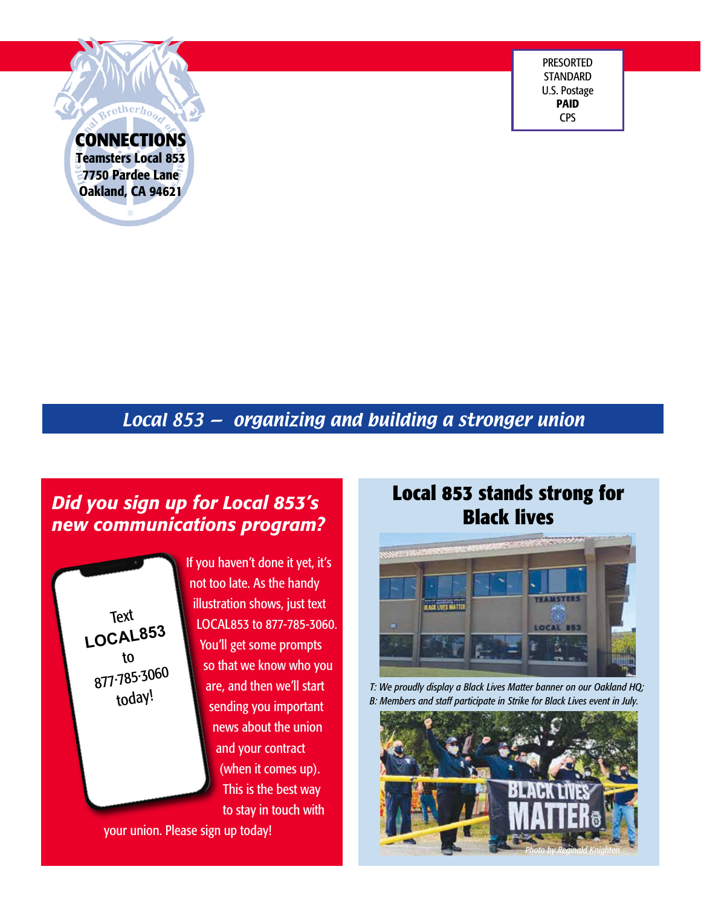PRESORTED **STANDARD** U.S. Postage PAID CPS

**CONNECTIONS** Teamsters Local 853 7750 Pardee Lane Oakland, CA 94621

rotherh<sub>on</sub>

# Local 853 — organizing and building a stronger union

# *Did you sign up for Local 853's new communications program?*

Text **LOCAL853** to 877·785·3060 today!

If you haven't done it yet, it's not too late. As the handy illustration shows, just text LOCAL853 to 877-785-3060. You'll get some prompts so that we know who you are, and then we'll start sending you important news about the union and your contract (when it comes up). This is the best way to stay in touch with

your union. Please sign up today!

# **Local 853 stands strong for Black lives**



*T: We proudly display a Black Lives Matter banner on our Oakland HQ; B: Members and staff participate in Strike for Black Lives event in July.*

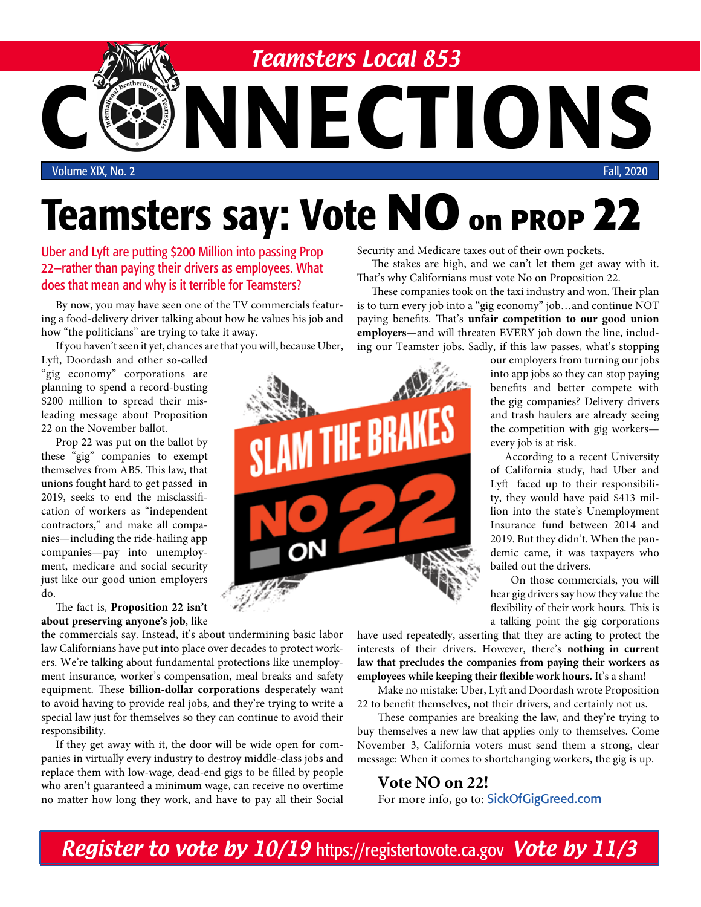

# Teamsters say: Vote **NO on PROP 22**

Uber and Lyft are putting \$200 Million into passing Prop 22—rather than paying their drivers as employees. What does that mean and why is it terrible for Teamsters?

By now, you may have seen one of the TV commercials featuring a food-delivery driver talking about how he values his job and how "the politicians" are trying to take it away.

If you haven't seen it yet, chances are that you will, because Uber,

Lyft, Doordash and other so-called "gig economy" corporations are planning to spend a record-busting \$200 million to spread their misleading message about Proposition 22 on the November ballot.

Prop 22 was put on the ballot by these "gig" companies to exempt themselves from AB5. This law, that unions fought hard to get passed in 2019, seeks to end the misclassification of workers as "independent contractors," and make all companies—including the ride-hailing app companies—pay into unemployment, medicare and social security just like our good union employers do.

The fact is, **Proposition 22 isn't about preserving anyone's job**, like

the commercials say. Instead, it's about undermining basic labor law Californians have put into place over decades to protect workers. We're talking about fundamental protections like unemployment insurance, worker's compensation, meal breaks and safety equipment. These **billion-dollar corporations** desperately want to avoid having to provide real jobs, and they're trying to write a special law just for themselves so they can continue to avoid their responsibility.

If they get away with it, the door will be wide open for companies in virtually every industry to destroy middle-class jobs and replace them with low-wage, dead-end gigs to be filled by people who aren't guaranteed a minimum wage, can receive no overtime no matter how long they work, and have to pay all their Social Security and Medicare taxes out of their own pockets.

The stakes are high, and we can't let them get away with it. That's why Californians must vote No on Proposition 22.

These companies took on the taxi industry and won. Their plan is to turn every job into a "gig economy" job…and continue NOT paying benefits. That's **unfair competition to our good union employers**—and will threaten EVERY job down the line, including our Teamster jobs. Sadly, if this law passes, what's stopping

> our employers from turning our jobs into app jobs so they can stop paying benefits and better compete with the gig companies? Delivery drivers and trash haulers are already seeing the competition with gig workers every job is at risk.

> According to a recent University of California study, had Uber and Lyft faced up to their responsibility, they would have paid \$413 million into the state's Unemployment Insurance fund between 2014 and 2019. But they didn't. When the pandemic came, it was taxpayers who bailed out the drivers.

> On those commercials, you will hear gig drivers say how they value the flexibility of their work hours. This is a talking point the gig corporations

have used repeatedly, asserting that they are acting to protect the interests of their drivers. However, there's **nothing in current law that precludes the companies from paying their workers as employees while keeping their flexible work hours.** It's a sham!

Make no mistake: Uber, Lyft and Doordash wrote Proposition 22 to benefit themselves, not their drivers, and certainly not us.

These companies are breaking the law, and they're trying to buy themselves a new law that applies only to themselves. Come November 3, California voters must send them a strong, clear message: When it comes to shortchanging workers, the gig is up.

#### **Vote NO on 22!** For more info, go to: SickOfGigGreed.com

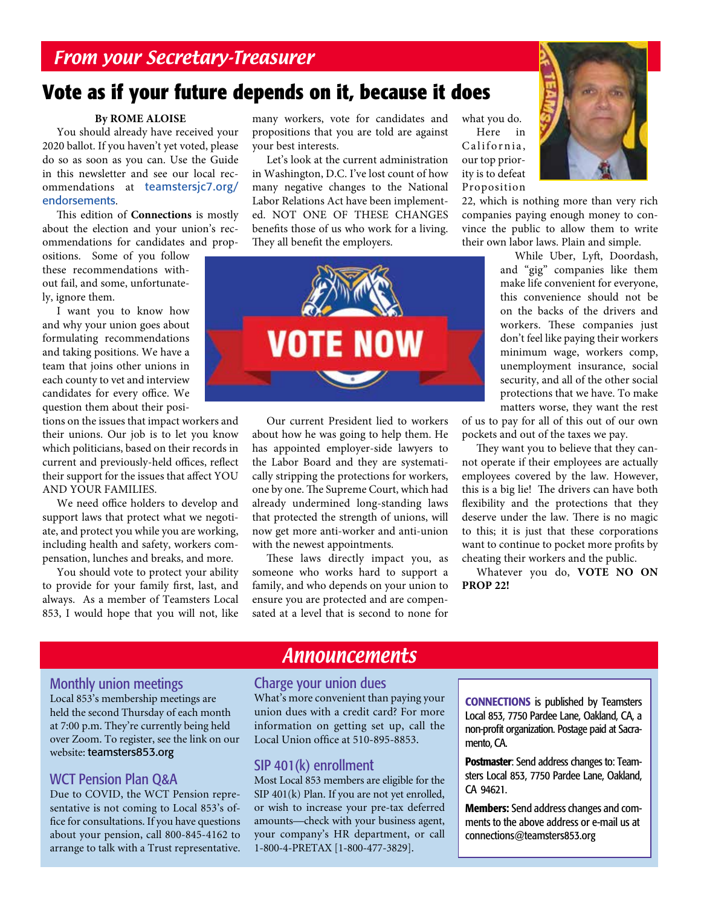# **Vote as if your future depends on it, because it does**

#### **By ROME ALOISE**

You should already have received your 2020 ballot. If you haven't yet voted, please do so as soon as you can. Use the Guide in this newsletter and see our local recommendations at teamstersjc7.org/ endorsements.

This edition of **Connections** is mostly about the election and your union's recommendations for candidates and prop-

ositions. Some of you follow these recommendations without fail, and some, unfortunately, ignore them.

I want you to know how and why your union goes about formulating recommendations and taking positions. We have a team that joins other unions in each county to vet and interview candidates for every office. We question them about their posi-

tions on the issues that impact workers and their unions. Our job is to let you know which politicians, based on their records in current and previously-held offices, reflect their support for the issues that affect YOU AND YOUR FAMILIES.

We need office holders to develop and support laws that protect what we negotiate, and protect you while you are working, including health and safety, workers compensation, lunches and breaks, and more.

You should vote to protect your ability to provide for your family first, last, and always. As a member of Teamsters Local 853, I would hope that you will not, like

many workers, vote for candidates and propositions that you are told are against your best interests.

Let's look at the current administration in Washington, D.C. I've lost count of how many negative changes to the National Labor Relations Act have been implemented. NOT ONE OF THESE CHANGES benefits those of us who work for a living. They all benefit the employers.



Our current President lied to workers about how he was going to help them. He has appointed employer-side lawyers to the Labor Board and they are systematically stripping the protections for workers, one by one. The Supreme Court, which had already undermined long-standing laws that protected the strength of unions, will now get more anti-worker and anti-union with the newest appointments.

These laws directly impact you, as someone who works hard to support a family, and who depends on your union to ensure you are protected and are compensated at a level that is second to none for

what you do. Here in California,

our top priority is to defeat Proposition



22, which is nothing more than very rich companies paying enough money to convince the public to allow them to write their own labor laws. Plain and simple.

> While Uber, Lyft, Doordash, and "gig" companies like them make life convenient for everyone, this convenience should not be on the backs of the drivers and workers. These companies just don't feel like paying their workers minimum wage, workers comp, unemployment insurance, social security, and all of the other social protections that we have. To make matters worse, they want the rest

of us to pay for all of this out of our own pockets and out of the taxes we pay.

They want you to believe that they cannot operate if their employees are actually employees covered by the law. However, this is a big lie! The drivers can have both flexibility and the protections that they deserve under the law. There is no magic to this; it is just that these corporations want to continue to pocket more profits by cheating their workers and the public.

Whatever you do, **VOTE NO ON PROP 22!**

#### Monthly union meetings

Local 853's membership meetings are held the second Thursday of each month at 7:00 p.m. They're currently being held over Zoom. To register, see the link on our website: teamsters853.org

#### WCT Pension Plan Q&A

Due to COVID, the WCT Pension representative is not coming to Local 853's office for consultations. If you have questions about your pension, call 800-845-4162 to arrange to talk with a Trust representative.

## **Announcements**

#### Charge your union dues

What's more convenient than paying your union dues with a credit card? For more information on getting set up, call the Local Union office at 510-895-8853.

#### SIP 401(k) enrollment

Most Local 853 members are eligible for the SIP 401(k) Plan. If you are not yet enrolled, or wish to increase your pre-tax deferred amounts—check with your business agent, your company's HR department, or call 1-800-4-PRETAX [1-800-477-3829].

CONNECTIONS is published by Teamsters Local 853, 7750 Pardee Lane, Oakland, CA, a non-profit organization. Postage paid at Sacramento, CA.

Postmaster: Send address changes to: Teamsters Local 853, 7750 Pardee Lane, Oakland, CA 94621.

Members: Send address changes and comments to the above address or e-mail us at connections@teamsters853.org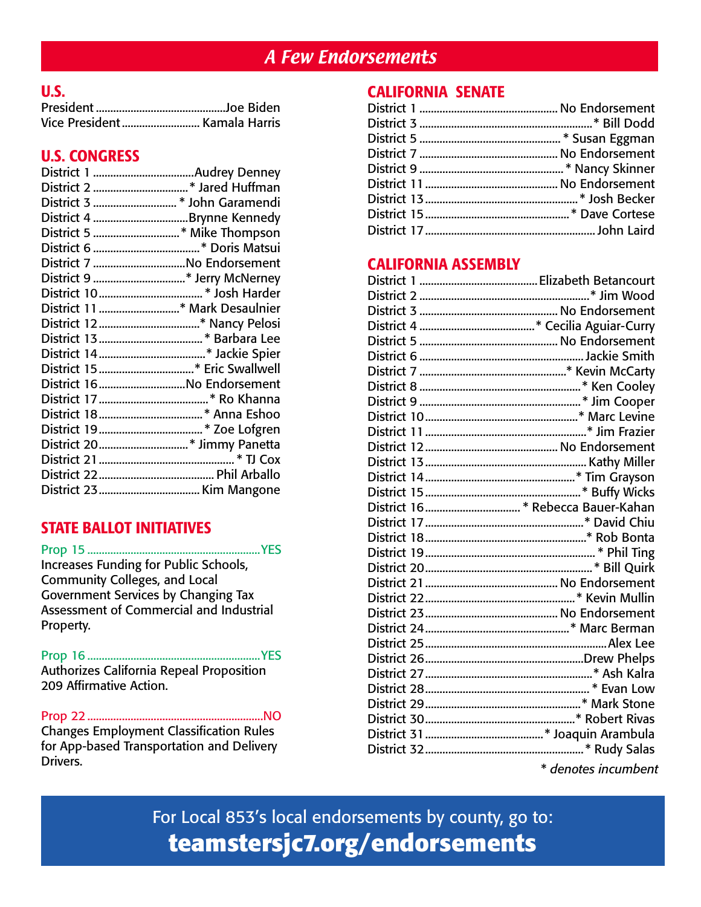# A Few Endorsements

## U.S.

## U.S. CONGRESS

| District 1 Audrey Denney      |
|-------------------------------|
|                               |
| District 3 * John Garamendi   |
|                               |
|                               |
|                               |
| District 7 No Endorsement     |
|                               |
|                               |
| District 11 * Mark Desaulnier |
|                               |
|                               |
|                               |
|                               |
| District 16No Endorsement     |
|                               |
|                               |
|                               |
| District 20* Jimmy Panetta    |
|                               |
|                               |
|                               |

## STATE BALLOT INITIATIVES

Prop 15 ............................................................YES Increases Funding for Public Schools, Community Colleges, and Local Government Services by Changing Tax Assessment of Commercial and Industrial Property.

Prop 16 ............................................................YES Authorizes California Repeal Proposition 209 Affirmative Action.

Prop 22.............................................................NO Changes Employment Classification Rules for App-based Transportation and Delivery Drivers.

## CALIFORNIA SENATE

### CALIFORNIA ASSEMBLY

| * denotes incumbent |
|---------------------|

For Local 853's local endorsements by county, go to: **teamstersjc7.org/endorsements**